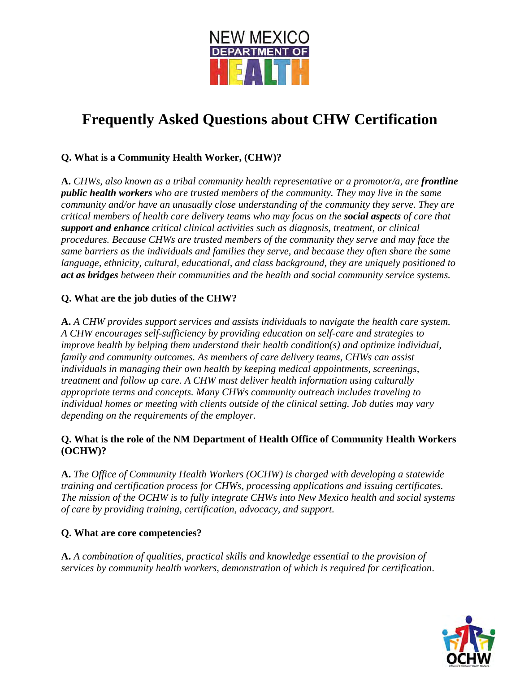

# **Frequently Asked Questions about CHW Certification**

# **Q. What is a Community Health Worker, (CHW)?**

**A.** *CHWs, also known as a tribal community health representative or a promotor/a, are frontline public health workers who are trusted members of the community. They may live in the same community and/or have an unusually close understanding of the community they serve. They are critical members of health care delivery teams who may focus on the social aspects of care that support and enhance critical clinical activities such as diagnosis, treatment, or clinical procedures. Because CHWs are trusted members of the community they serve and may face the same barriers as the individuals and families they serve, and because they often share the same language, ethnicity, cultural, educational, and class background, they are uniquely positioned to act as bridges between their communities and the health and social community service systems.* 

## **Q. What are the job duties of the CHW?**

**A.** *A CHW provides support services and assists individuals to navigate the health care system. A CHW encourages self-sufficiency by providing education on self-care and strategies to improve health by helping them understand their health condition(s) and optimize individual, family and community outcomes. As members of care delivery teams, CHWs can assist individuals in managing their own health by keeping medical appointments, screenings, treatment and follow up care. A CHW must deliver health information using culturally appropriate terms and concepts. Many CHWs community outreach includes traveling to individual homes or meeting with clients outside of the clinical setting. Job duties may vary depending on the requirements of the employer.*

## **Q. What is the role of the NM Department of Health Office of Community Health Workers (OCHW)?**

**A.** *The Office of Community Health Workers (OCHW) is charged with developing a statewide training and certification process for CHWs, processing applications and issuing certificates. The mission of the OCHW is to fully integrate CHWs into New Mexico health and social systems of care by providing training, certification, advocacy, and support.* 

#### **Q. What are core competencies?**

**A.** *A combination of qualities, practical skills and knowledge essential to the provision of services by community health workers, demonstration of which is required for certification*.

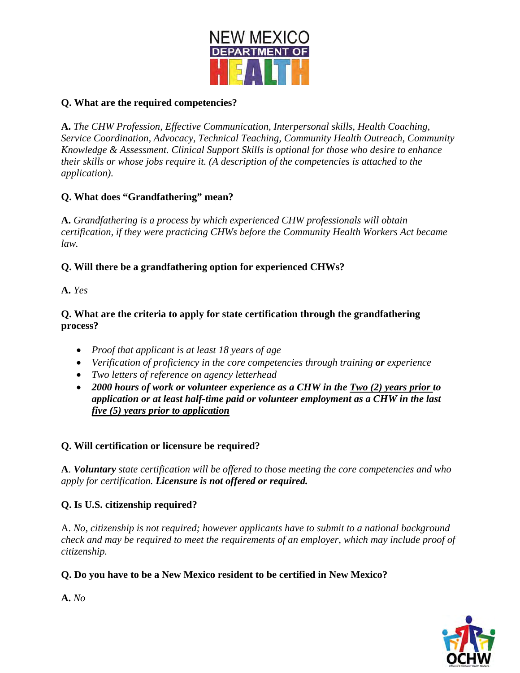

## **Q. What are the required competencies?**

**A.** *The CHW Profession, Effective Communication, Interpersonal skills, Health Coaching, Service Coordination, Advocacy, Technical Teaching, Community Health Outreach, Community Knowledge & Assessment. Clinical Support Skills is optional for those who desire to enhance their skills or whose jobs require it. (A description of the competencies is attached to the application).*

# **Q. What does "Grandfathering" mean?**

**A.** *Grandfathering is a process by which experienced CHW professionals will obtain certification, if they were practicing CHWs before the Community Health Workers Act became law.* 

## **Q. Will there be a grandfathering option for experienced CHWs?**

**A.** *Yes* 

### **Q. What are the criteria to apply for state certification through the grandfathering process?**

- *Proof that applicant is at least 18 years of age*
- *Verification of proficiency in the core competencies through training or experience*
- *Two letters of reference on agency letterhead*
- *2000 hours of work or volunteer experience as a CHW in the Two (2) years prior to application or at least half-time paid or volunteer employment as a CHW in the last five (5) years prior to application*

# **Q. Will certification or licensure be required?**

**A**. *Voluntary state certification will be offered to those meeting the core competencies and who apply for certification. Licensure is not offered or required.* 

# **Q. Is U.S. citizenship required?**

A. *No, citizenship is not required; however applicants have to submit to a national background check and may be required to meet the requirements of an employer, which may include proof of citizenship.* 

## **Q. Do you have to be a New Mexico resident to be certified in New Mexico?**



**A.** *No*